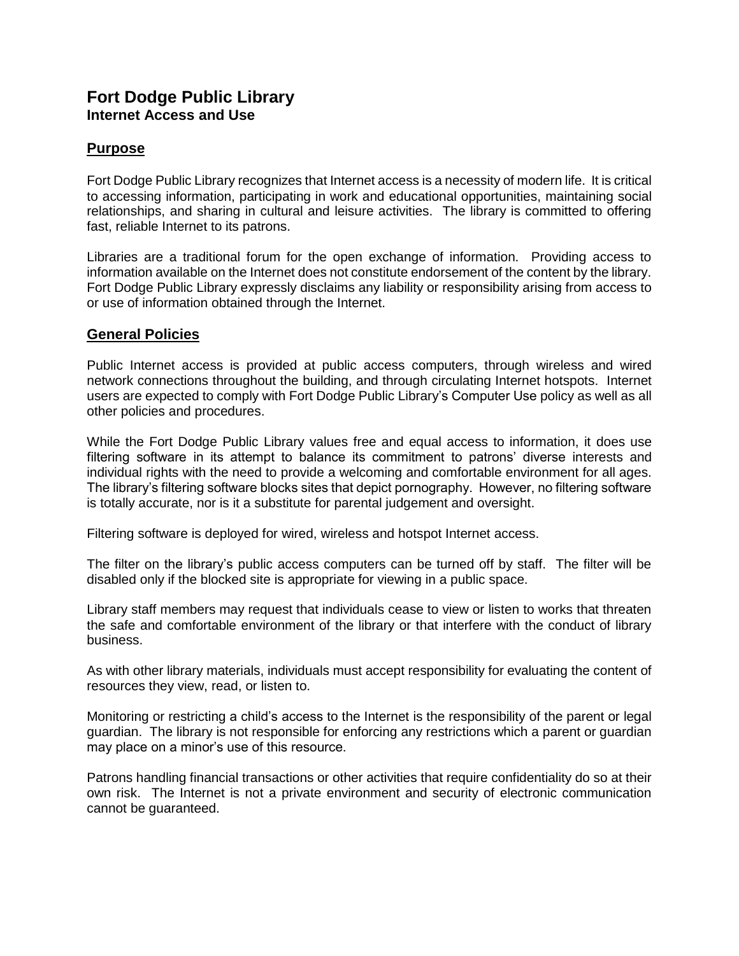## **Fort Dodge Public Library Internet Access and Use**

## **Purpose**

Fort Dodge Public Library recognizes that Internet access is a necessity of modern life. It is critical to accessing information, participating in work and educational opportunities, maintaining social relationships, and sharing in cultural and leisure activities. The library is committed to offering fast, reliable Internet to its patrons.

Libraries are a traditional forum for the open exchange of information. Providing access to information available on the Internet does not constitute endorsement of the content by the library. Fort Dodge Public Library expressly disclaims any liability or responsibility arising from access to or use of information obtained through the Internet.

## **General Policies**

Public Internet access is provided at public access computers, through wireless and wired network connections throughout the building, and through circulating Internet hotspots. Internet users are expected to comply with Fort Dodge Public Library's Computer Use policy as well as all other policies and procedures.

While the Fort Dodge Public Library values free and equal access to information, it does use filtering software in its attempt to balance its commitment to patrons' diverse interests and individual rights with the need to provide a welcoming and comfortable environment for all ages. The library's filtering software blocks sites that depict pornography. However, no filtering software is totally accurate, nor is it a substitute for parental judgement and oversight.

Filtering software is deployed for wired, wireless and hotspot Internet access.

The filter on the library's public access computers can be turned off by staff. The filter will be disabled only if the blocked site is appropriate for viewing in a public space.

Library staff members may request that individuals cease to view or listen to works that threaten the safe and comfortable environment of the library or that interfere with the conduct of library business.

As with other library materials, individuals must accept responsibility for evaluating the content of resources they view, read, or listen to.

Monitoring or restricting a child's access to the Internet is the responsibility of the parent or legal guardian. The library is not responsible for enforcing any restrictions which a parent or guardian may place on a minor's use of this resource.

Patrons handling financial transactions or other activities that require confidentiality do so at their own risk. The Internet is not a private environment and security of electronic communication cannot be guaranteed.